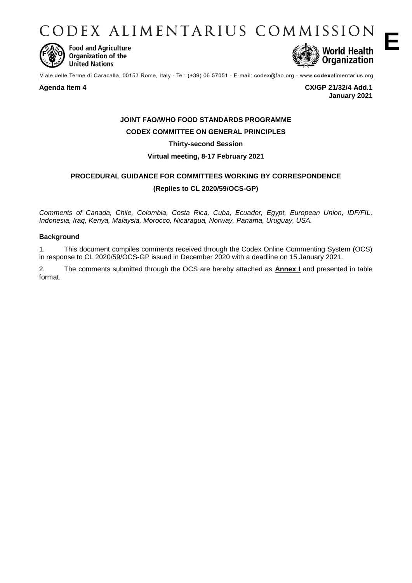CODEX ALIMENTARIUS COMMISSION



**Food and Agriculture** Organization of the **United Nations** 



Viale delle Terme di Caracalla, 00153 Rome, Italy - Tel: (+39) 06 57051 - E-mail: codex@fao.org - www.codexalimentarius.org

**Agenda Item 4 CX/GP 21/32/4 Add.1 January 2021**

# **JOINT FAO/WHO FOOD STANDARDS PROGRAMME CODEX COMMITTEE ON GENERAL PRINCIPLES**

**Thirty-second Session**

**Virtual meeting, 8-17 February 2021** 

# **PROCEDURAL GUIDANCE FOR COMMITTEES WORKING BY CORRESPONDENCE (Replies to CL 2020/59/OCS-GP)**

*Comments of Canada, Chile, Colombia, Costa Rica, Cuba, Ecuador, Egypt, European Union, IDF/FIL, Indonesia, Iraq, Kenya, Malaysia, Morocco, Nicaragua, Norway, Panama, Uruguay, USA.*

#### **Background**

1. This document compiles comments received through the Codex Online Commenting System (OCS) in response to CL 2020/59/OCS-GP issued in December 2020 with a deadline on 15 January 2021.

2. The comments submitted through the OCS are hereby attached as **Annex I** and presented in table format.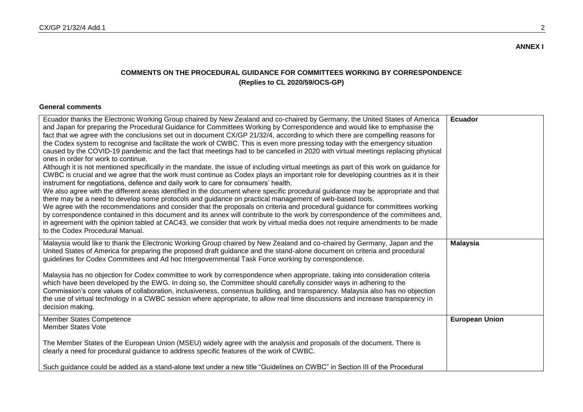## **COMMENTS ON THE PROCEDURAL GUIDANCE FOR COMMITTEES WORKING BY CORRESPONDENCE (Replies to CL 2020/59/OCS-GP)**

### **General comments**

| Ecuador thanks the Electronic Working Group chaired by New Zealand and co-chaired by Germany, the United States of America<br>and Japan for preparing the Procedural Guidance for Committees Working by Correspondence and would like to emphasise the<br>fact that we agree with the conclusions set out in document CX/GP 21/32/4, according to which there are compelling reasons for<br>the Codex system to recognise and facilitate the work of CWBC. This is even more pressing today with the emergency situation<br>caused by the COVID-19 pandemic and the fact that meetings had to be cancelled in 2020 with virtual meetings replacing physical<br>ones in order for work to continue.<br>Although it is not mentioned specifically in the mandate, the issue of including virtual meetings as part of this work on guidance for<br>CWBC is crucial and we agree that the work must continue as Codex plays an important role for developing countries as it is their<br>instrument for negotiations, defence and daily work to care for consumers' health.<br>We also agree with the different areas identified in the document where specific procedural guidance may be appropriate and that<br>there may be a need to develop some protocols and guidance on practical management of web-based tools.<br>We agree with the recommendations and consider that the proposals on criteria and procedural guidance for committees working<br>by correspondence contained in this document and its annex will contribute to the work by correspondence of the committees and,<br>in agreement with the opinion tabled at CAC43, we consider that work by virtual media does not require amendments to be made<br>to the Codex Procedural Manual. | <b>Ecuador</b>        |
|-------------------------------------------------------------------------------------------------------------------------------------------------------------------------------------------------------------------------------------------------------------------------------------------------------------------------------------------------------------------------------------------------------------------------------------------------------------------------------------------------------------------------------------------------------------------------------------------------------------------------------------------------------------------------------------------------------------------------------------------------------------------------------------------------------------------------------------------------------------------------------------------------------------------------------------------------------------------------------------------------------------------------------------------------------------------------------------------------------------------------------------------------------------------------------------------------------------------------------------------------------------------------------------------------------------------------------------------------------------------------------------------------------------------------------------------------------------------------------------------------------------------------------------------------------------------------------------------------------------------------------------------------------------------------------------------------------------------------------------------------------------|-----------------------|
| Malaysia would like to thank the Electronic Working Group chaired by New Zealand and co-chaired by Germany, Japan and the<br>United States of America for preparing the proposed draft guidance and the stand-alone document on criteria and procedural<br>guidelines for Codex Committees and Ad hoc Intergovernmental Task Force working by correspondence.<br>Malaysia has no objection for Codex committee to work by correspondence when appropriate, taking into consideration criteria<br>which have been developed by the EWG. In doing so, the Committee should carefully consider ways in adhering to the<br>Commission's core values of collaboration, inclusiveness, consensus building, and transparency. Malaysia also has no objection<br>the use of virtual technology in a CWBC session where appropriate, to allow real time discussions and increase transparency in<br>decision making.                                                                                                                                                                                                                                                                                                                                                                                                                                                                                                                                                                                                                                                                                                                                                                                                                                                 | <b>Malaysia</b>       |
| <b>Member States Competence</b><br><b>Member States Vote</b><br>The Member States of the European Union (MSEU) widely agree with the analysis and proposals of the document. There is<br>clearly a need for procedural guidance to address specific features of the work of CWBC.<br>Such guidance could be added as a stand-alone text under a new title "Guidelines on CWBC" in Section III of the Procedural                                                                                                                                                                                                                                                                                                                                                                                                                                                                                                                                                                                                                                                                                                                                                                                                                                                                                                                                                                                                                                                                                                                                                                                                                                                                                                                                             | <b>European Union</b> |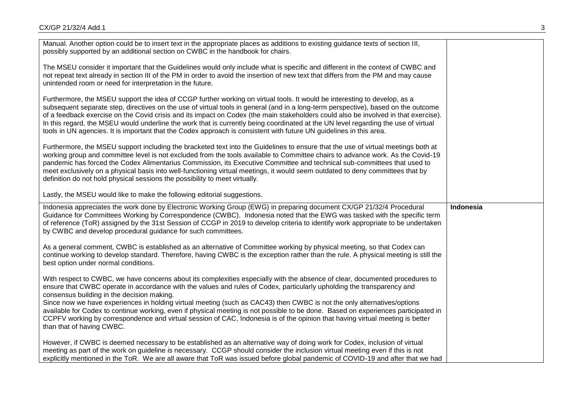| Manual. Another option could be to insert text in the appropriate places as additions to existing guidance texts of section III,<br>possibly supported by an additional section on CWBC in the handbook for chairs.                                                                                                                                                                                                                                                                                                                                                                                                                                                                                                                 |           |
|-------------------------------------------------------------------------------------------------------------------------------------------------------------------------------------------------------------------------------------------------------------------------------------------------------------------------------------------------------------------------------------------------------------------------------------------------------------------------------------------------------------------------------------------------------------------------------------------------------------------------------------------------------------------------------------------------------------------------------------|-----------|
| The MSEU consider it important that the Guidelines would only include what is specific and different in the context of CWBC and<br>not repeat text already in section III of the PM in order to avoid the insertion of new text that differs from the PM and may cause<br>unintended room or need for interpretation in the future.                                                                                                                                                                                                                                                                                                                                                                                                 |           |
| Furthermore, the MSEU support the idea of CCGP further working on virtual tools. It would be interesting to develop, as a<br>subsequent separate step, directives on the use of virtual tools in general (and in a long-term perspective), based on the outcome<br>of a feedback exercise on the Covid crisis and its impact on Codex (the main stakeholders could also be involved in that exercise).<br>In this regard, the MSEU would underline the work that is currently being coordinated at the UN level regarding the use of virtual<br>tools in UN agencies. It is important that the Codex approach is consistent with future UN guidelines in this area.                                                                 |           |
| Furthermore, the MSEU support including the bracketed text into the Guidelines to ensure that the use of virtual meetings both at<br>working group and committee level is not excluded from the tools available to Committee chairs to advance work. As the Covid-19<br>pandemic has forced the Codex Alimentarius Commission, its Executive Committee and technical sub-committees that used to<br>meet exclusively on a physical basis into well-functioning virtual meetings, it would seem outdated to deny committees that by<br>definition do not hold physical sessions the possibility to meet virtually.                                                                                                                   |           |
| Lastly, the MSEU would like to make the following editorial suggestions.                                                                                                                                                                                                                                                                                                                                                                                                                                                                                                                                                                                                                                                            |           |
|                                                                                                                                                                                                                                                                                                                                                                                                                                                                                                                                                                                                                                                                                                                                     |           |
| Indonesia appreciates the work done by Electronic Working Group (EWG) in preparing document CX/GP 21/32/4 Procedural<br>Guidance for Committees Working by Correspondence (CWBC). Indonesia noted that the EWG was tasked with the specific term<br>of reference (ToR) assigned by the 31st Session of CCGP in 2019 to develop criteria to identify work appropriate to be undertaken<br>by CWBC and develop procedural guidance for such committees.                                                                                                                                                                                                                                                                               | Indonesia |
| As a general comment, CWBC is established as an alternative of Committee working by physical meeting, so that Codex can<br>continue working to develop standard. Therefore, having CWBC is the exception rather than the rule. A physical meeting is still the<br>best option under normal conditions.                                                                                                                                                                                                                                                                                                                                                                                                                              |           |
| With respect to CWBC, we have concerns about its complexities especially with the absence of clear, documented procedures to<br>ensure that CWBC operate in accordance with the values and rules of Codex, particularly upholding the transparency and<br>consensus building in the decision making.<br>Since now we have experiences in holding virtual meeting (such as CAC43) then CWBC is not the only alternatives/options<br>available for Codex to continue working, even if physical meeting is not possible to be done. Based on experiences participated in<br>CCPFV working by correspondence and virtual session of CAC, Indonesia is of the opinion that having virtual meeting is better<br>than that of having CWBC. |           |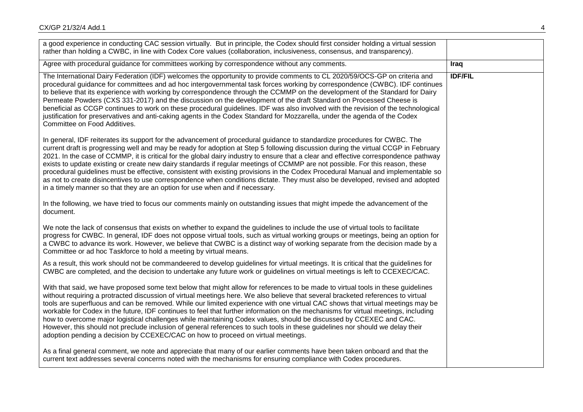| a good experience in conducting CAC session virtually. But in principle, the Codex should first consider holding a virtual session<br>rather than holding a CWBC, in line with Codex Core values (collaboration, inclusiveness, consensus, and transparency).                                                                                                                                                                                                                                                                                                                                                                                                                                                                                                                                                                                                                                  |                |
|------------------------------------------------------------------------------------------------------------------------------------------------------------------------------------------------------------------------------------------------------------------------------------------------------------------------------------------------------------------------------------------------------------------------------------------------------------------------------------------------------------------------------------------------------------------------------------------------------------------------------------------------------------------------------------------------------------------------------------------------------------------------------------------------------------------------------------------------------------------------------------------------|----------------|
| Agree with procedural guidance for committees working by correspondence without any comments.                                                                                                                                                                                                                                                                                                                                                                                                                                                                                                                                                                                                                                                                                                                                                                                                  | Iraq           |
| The International Dairy Federation (IDF) welcomes the opportunity to provide comments to CL 2020/59/OCS-GP on criteria and<br>procedural guidance for committees and ad hoc intergovernmental task forces working by correspondence (CWBC). IDF continues<br>to believe that its experience with working by correspondence through the CCMMP on the development of the Standard for Dairy<br>Permeate Powders (CXS 331-2017) and the discussion on the development of the draft Standard on Processed Cheese is<br>beneficial as CCGP continues to work on these procedural guidelines. IDF was also involved with the revision of the technological<br>justification for preservatives and anti-caking agents in the Codex Standard for Mozzarella, under the agenda of the Codex<br>Committee on Food Additives.                                                                             | <b>IDF/FIL</b> |
| In general, IDF reiterates its support for the advancement of procedural guidance to standardize procedures for CWBC. The<br>current draft is progressing well and may be ready for adoption at Step 5 following discussion during the virtual CCGP in February<br>2021. In the case of CCMMP, it is critical for the global dairy industry to ensure that a clear and effective correspondence pathway<br>exists to update existing or create new dairy standards if regular meetings of CCMMP are not possible. For this reason, these<br>procedural guidelines must be effective, consistent with existing provisions in the Codex Procedural Manual and implementable so<br>as not to create disincentives to use correspondence when conditions dictate. They must also be developed, revised and adopted<br>in a timely manner so that they are an option for use when and if necessary. |                |
| In the following, we have tried to focus our comments mainly on outstanding issues that might impede the advancement of the<br>document.                                                                                                                                                                                                                                                                                                                                                                                                                                                                                                                                                                                                                                                                                                                                                       |                |
| We note the lack of consensus that exists on whether to expand the guidelines to include the use of virtual tools to facilitate<br>progress for CWBC. In general, IDF does not oppose virtual tools, such as virtual working groups or meetings, being an option for<br>a CWBC to advance its work. However, we believe that CWBC is a distinct way of working separate from the decision made by a<br>Committee or ad hoc Taskforce to hold a meeting by virtual means.                                                                                                                                                                                                                                                                                                                                                                                                                       |                |
| As a result, this work should not be commandeered to develop guidelines for virtual meetings. It is critical that the guidelines for<br>CWBC are completed, and the decision to undertake any future work or guidelines on virtual meetings is left to CCEXEC/CAC.                                                                                                                                                                                                                                                                                                                                                                                                                                                                                                                                                                                                                             |                |
| With that said, we have proposed some text below that might allow for references to be made to virtual tools in these guidelines<br>without requiring a protracted discussion of virtual meetings here. We also believe that several bracketed references to virtual<br>tools are superfluous and can be removed. While our limited experience with one virtual CAC shows that virtual meetings may be<br>workable for Codex in the future, IDF continues to feel that further information on the mechanisms for virtual meetings, including<br>how to overcome major logistical challenges while maintaining Codex values, should be discussed by CCEXEC and CAC.<br>However, this should not preclude inclusion of general references to such tools in these guidelines nor should we delay their<br>adoption pending a decision by CCEXEC/CAC on how to proceed on virtual meetings.        |                |
| As a final general comment, we note and appreciate that many of our earlier comments have been taken onboard and that the<br>current text addresses several concerns noted with the mechanisms for ensuring compliance with Codex procedures.                                                                                                                                                                                                                                                                                                                                                                                                                                                                                                                                                                                                                                                  |                |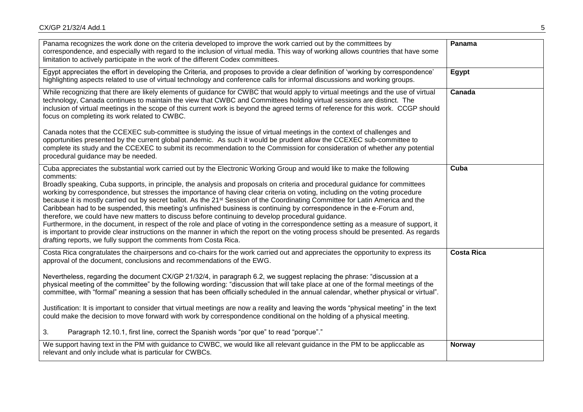| Panama recognizes the work done on the criteria developed to improve the work carried out by the committees by<br>correspondence, and especially with regard to the inclusion of virtual media. This way of working allows countries that have some<br>limitation to actively participate in the work of the different Codex committees.                                                                                                                                                                                                                                                                                                                                                                                                                                                                                                                                                                                                                                                                                                                                                                                        | Panama            |
|---------------------------------------------------------------------------------------------------------------------------------------------------------------------------------------------------------------------------------------------------------------------------------------------------------------------------------------------------------------------------------------------------------------------------------------------------------------------------------------------------------------------------------------------------------------------------------------------------------------------------------------------------------------------------------------------------------------------------------------------------------------------------------------------------------------------------------------------------------------------------------------------------------------------------------------------------------------------------------------------------------------------------------------------------------------------------------------------------------------------------------|-------------------|
| Egypt appreciates the effort in developing the Criteria, and proposes to provide a clear definition of 'working by correspondence'<br>highlighting aspects related to use of virtual technology and conference calls for informal discussions and working groups.                                                                                                                                                                                                                                                                                                                                                                                                                                                                                                                                                                                                                                                                                                                                                                                                                                                               | Egypt             |
| While recognizing that there are likely elements of guidance for CWBC that would apply to virtual meetings and the use of virtual<br>technology, Canada continues to maintain the view that CWBC and Committees holding virtual sessions are distinct. The<br>inclusion of virtual meetings in the scope of this current work is beyond the agreed terms of reference for this work. CCGP should<br>focus on completing its work related to CWBC.                                                                                                                                                                                                                                                                                                                                                                                                                                                                                                                                                                                                                                                                               | Canada            |
| Canada notes that the CCEXEC sub-committee is studying the issue of virtual meetings in the context of challenges and<br>opportunities presented by the current global pandemic. As such it would be prudent allow the CCEXEC sub-committee to<br>complete its study and the CCEXEC to submit its recommendation to the Commission for consideration of whether any potential<br>procedural guidance may be needed.                                                                                                                                                                                                                                                                                                                                                                                                                                                                                                                                                                                                                                                                                                             |                   |
| Cuba appreciates the substantial work carried out by the Electronic Working Group and would like to make the following<br>comments:<br>Broadly speaking, Cuba supports, in principle, the analysis and proposals on criteria and procedural guidance for committees<br>working by correspondence, but stresses the importance of having clear criteria on voting, including on the voting procedure<br>because it is mostly carried out by secret ballot. As the 21 <sup>st</sup> Session of the Coordinating Committee for Latin America and the<br>Caribbean had to be suspended, this meeting's unfinished business is continuing by correspondence in the e-Forum and,<br>therefore, we could have new matters to discuss before continuing to develop procedural guidance.<br>Furthermore, in the document, in respect of the role and place of voting in the correspondence setting as a measure of support, it<br>is important to provide clear instructions on the manner in which the report on the voting process should be presented. As regards<br>drafting reports, we fully support the comments from Costa Rica. | Cuba              |
| Costa Rica congratulates the chairpersons and co-chairs for the work carried out and appreciates the opportunity to express its<br>approval of the document, conclusions and recommendations of the EWG.<br>Nevertheless, regarding the document CX/GP 21/32/4, in paragraph 6.2, we suggest replacing the phrase: "discussion at a<br>physical meeting of the committee" by the following wording: "discussion that will take place at one of the formal meetings of the<br>committee, with "formal" meaning a session that has been officially scheduled in the annual calendar, whether physical or virtual".<br>Justification: It is important to consider that virtual meetings are now a reality and leaving the words "physical meeting" in the text<br>could make the decision to move forward with work by correspondence conditional on the holding of a physical meeting.<br>3.<br>Paragraph 12.10.1, first line, correct the Spanish words "por que" to read "porque"."                                                                                                                                             | <b>Costa Rica</b> |
| We support having text in the PM with guidance to CWBC, we would like all relevant guidance in the PM to be appliccable as<br>relevant and only include what is particular for CWBCs.                                                                                                                                                                                                                                                                                                                                                                                                                                                                                                                                                                                                                                                                                                                                                                                                                                                                                                                                           | <b>Norway</b>     |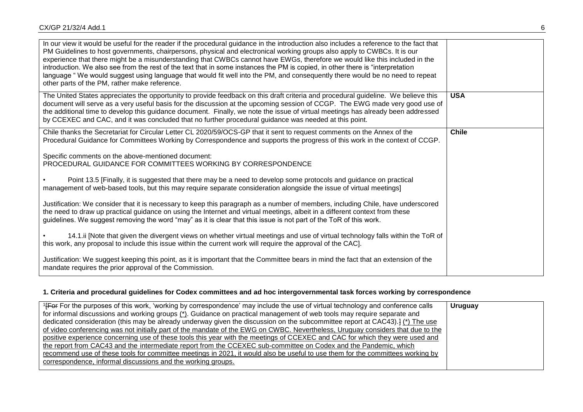| In our view it would be useful for the reader if the procedural guidance in the introduction also includes a reference to the fact that<br>PM Guidelines to host governments, chairpersons, physical and electronical working groups also apply to CWBCs. It is our<br>experience that there might be a misunderstanding that CWBCs cannot have EWGs, therefore we would like this included in the<br>introduction. We also see from the rest of the text that in some instances the PM is copied, in other there is "interpretation<br>language "We would suggest using language that would fit well into the PM, and consequently there would be no need to repeat<br>other parts of the PM, rather make reference. |              |
|-----------------------------------------------------------------------------------------------------------------------------------------------------------------------------------------------------------------------------------------------------------------------------------------------------------------------------------------------------------------------------------------------------------------------------------------------------------------------------------------------------------------------------------------------------------------------------------------------------------------------------------------------------------------------------------------------------------------------|--------------|
| The United States appreciates the opportunity to provide feedback on this draft criteria and procedural guideline. We believe this<br>document will serve as a very useful basis for the discussion at the upcoming session of CCGP. The EWG made very good use of<br>the additional time to develop this guidance document. Finally, we note the issue of virtual meetings has already been addressed<br>by CCEXEC and CAC, and it was concluded that no further procedural guidance was needed at this point.                                                                                                                                                                                                       | <b>USA</b>   |
| Chile thanks the Secretariat for Circular Letter CL 2020/59/OCS-GP that it sent to request comments on the Annex of the<br>Procedural Guidance for Committees Working by Correspondence and supports the progress of this work in the context of CCGP.                                                                                                                                                                                                                                                                                                                                                                                                                                                                | <b>Chile</b> |
| Specific comments on the above-mentioned document:<br>PROCEDURAL GUIDANCE FOR COMMITTEES WORKING BY CORRESPONDENCE                                                                                                                                                                                                                                                                                                                                                                                                                                                                                                                                                                                                    |              |
| Point 13.5 [Finally, it is suggested that there may be a need to develop some protocols and guidance on practical<br>management of web-based tools, but this may require separate consideration alongside the issue of virtual meetings]                                                                                                                                                                                                                                                                                                                                                                                                                                                                              |              |
| Justification: We consider that it is necessary to keep this paragraph as a number of members, including Chile, have underscored<br>the need to draw up practical guidance on using the Internet and virtual meetings, albeit in a different context from these<br>guidelines. We suggest removing the word "may" as it is clear that this issue is not part of the ToR of this work.                                                                                                                                                                                                                                                                                                                                 |              |
| 14.1.ii [Note that given the divergent views on whether virtual meetings and use of virtual technology falls within the ToR of<br>this work, any proposal to include this issue within the current work will require the approval of the CAC].                                                                                                                                                                                                                                                                                                                                                                                                                                                                        |              |
| Justification: We suggest keeping this point, as it is important that the Committee bears in mind the fact that an extension of the<br>mandate requires the prior approval of the Commission.                                                                                                                                                                                                                                                                                                                                                                                                                                                                                                                         |              |

# **1. Criteria and procedural guidelines for Codex committees and ad hoc intergovernmental task forces working by correspondence**

| <sup>1</sup> For For the purposes of this work, 'working by correspondence' may include the use of virtual technology and conference calls     | <b>Uruguay</b> |
|------------------------------------------------------------------------------------------------------------------------------------------------|----------------|
| for informal discussions and working groups $(*)$ . Guidance on practical management of web tools may require separate and                     |                |
| dedicated consideration (this may be already underway given the discussion on the subcommittee report at CAC43). $\binom{(*)}{\text{The use}}$ |                |
| of video conferencing was not initially part of the mandate of the EWG on CWBC. Nevertheless, Uruguay considers that due to the                |                |
| positive experience concerning use of these tools this year with the meetings of CCEXEC and CAC for which they were used and                   |                |
| the report from CAC43 and the intermediate report from the CCEXEC sub-committee on Codex and the Pandemic, which                               |                |
| recommend use of these tools for committee meetings in 2021, it would also be useful to use them for the committees working by                 |                |
| correspondence, informal discussions and the working groups.                                                                                   |                |
|                                                                                                                                                |                |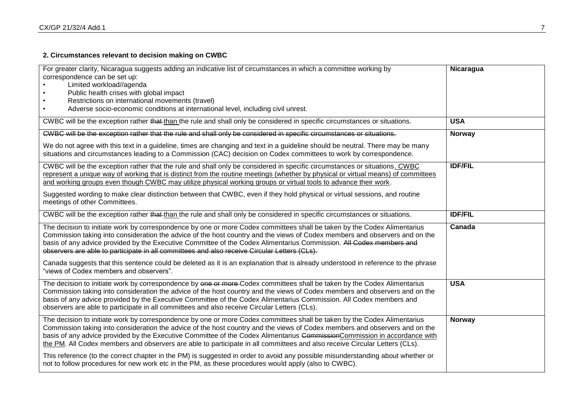# **2. Circumstances relevant to decision making on CWBC**

| For greater clarity, Nicaragua suggests adding an indicative list of circumstances in which a committee working by<br>correspondence can be set up:<br>Limited workload//agenda<br>Public health crises with global impact<br>Restrictions on international movements (travel)<br>Adverse socio-economic conditions at international level, including civil unrest.                                                                                                                                                                                                                                                                                            | Nicaragua      |
|----------------------------------------------------------------------------------------------------------------------------------------------------------------------------------------------------------------------------------------------------------------------------------------------------------------------------------------------------------------------------------------------------------------------------------------------------------------------------------------------------------------------------------------------------------------------------------------------------------------------------------------------------------------|----------------|
| CWBC will be the exception rather that than the rule and shall only be considered in specific circumstances or situations.                                                                                                                                                                                                                                                                                                                                                                                                                                                                                                                                     | <b>USA</b>     |
| CWBC will be the exception rather that the rule and shall only be considered in specific circumstances or situations.                                                                                                                                                                                                                                                                                                                                                                                                                                                                                                                                          | <b>Norway</b>  |
| We do not agree with this text in a guideline, times are changing and text in a guideline should be neutral. There may be many<br>situations and circumstances leading to a Commission (CAC) decision on Codex committees to work by correspondence.                                                                                                                                                                                                                                                                                                                                                                                                           |                |
| CWBC will be the exception rather that the rule and shall only be considered in specific circumstances or situations. CWBC<br>represent a unique way of working that is distinct from the routine meetings (whether by physical or virtual means) of committees<br>and working groups even though CWBC may utilize physical working groups or virtual tools to advance their work.<br>Suggested wording to make clear distinction between that CWBC, even if they hold physical or virtual sessions, and routine<br>meetings of other Committees.                                                                                                              | <b>IDF/FIL</b> |
| CWBC will be the exception rather that than the rule and shall only be considered in specific circumstances or situations.                                                                                                                                                                                                                                                                                                                                                                                                                                                                                                                                     | <b>IDF/FIL</b> |
| The decision to initiate work by correspondence by one or more Codex committees shall be taken by the Codex Alimentarius<br>Commission taking into consideration the advice of the host country and the views of Codex members and observers and on the<br>basis of any advice provided by the Executive Committee of the Codex Alimentarius Commission. All Codex members and<br>observers are able to participate in all committees and also receive Circular Letters (CLs).<br>Canada suggests that this sentence could be deleted as it is an explanation that is already understood in reference to the phrase<br>"views of Codex members and observers". | Canada         |
|                                                                                                                                                                                                                                                                                                                                                                                                                                                                                                                                                                                                                                                                |                |
| The decision to initiate work by correspondence by one or more Codex committees shall be taken by the Codex Alimentarius<br>Commission taking into consideration the advice of the host country and the views of Codex members and observers and on the<br>basis of any advice provided by the Executive Committee of the Codex Alimentarius Commission. All Codex members and<br>observers are able to participate in all committees and also receive Circular Letters (CLs).                                                                                                                                                                                 | <b>USA</b>     |
| The decision to initiate work by correspondence by one or more Codex committees shall be taken by the Codex Alimentarius<br>Commission taking into consideration the advice of the host country and the views of Codex members and observers and on the<br>basis of any advice provided by the Executive Committee of the Codex Alimentarius Commission Commission in accordance with<br>the PM. All Codex members and observers are able to participate in all committees and also receive Circular Letters (CLs).                                                                                                                                            | <b>Norway</b>  |
| This reference (to the correct chapter in the PM) is suggested in order to avoid any possible misunderstanding about whether or<br>not to follow procedures for new work etc in the PM, as these procedures would apply (also to CWBC).                                                                                                                                                                                                                                                                                                                                                                                                                        |                |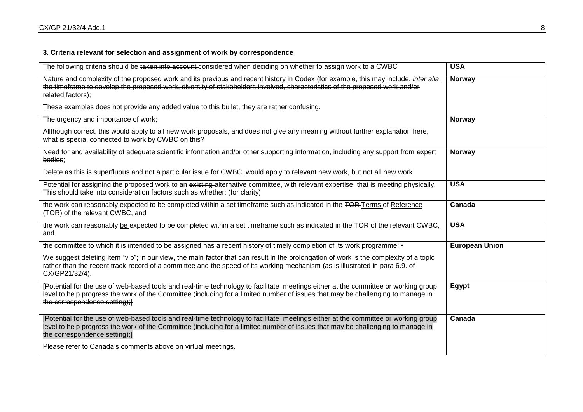# **3. Criteria relevant for selection and assignment of work by correspondence**

| The following criteria should be taken into account considered when deciding on whether to assign work to a CWBC                                                                                                                                                                                       | <b>USA</b>            |
|--------------------------------------------------------------------------------------------------------------------------------------------------------------------------------------------------------------------------------------------------------------------------------------------------------|-----------------------|
| Nature and complexity of the proposed work and its previous and recent history in Codex (for example, this may include, inter alia,<br>the timeframe to develop the proposed work, diversity of stakeholders involved, characteristics of the proposed work and/or<br>related factors);                | <b>Norway</b>         |
| These examples does not provide any added value to this bullet, they are rather confusing.                                                                                                                                                                                                             |                       |
| The urgency and importance of work;                                                                                                                                                                                                                                                                    | <b>Norway</b>         |
| Allthough correct, this would apply to all new work proposals, and does not give any meaning without further explanation here,<br>what is special connected to work by CWBC on this?                                                                                                                   |                       |
| Need for and availability of adequate scientific information and/or other supporting information, including any support from expert<br>bodies;                                                                                                                                                         | <b>Norway</b>         |
| Delete as this is superfluous and not a particular issue for CWBC, would apply to relevant new work, but not all new work                                                                                                                                                                              |                       |
| Potential for assigning the proposed work to an existing alternative committee, with relevant expertise, that is meeting physically.<br>This should take into consideration factors such as whether: (for clarity)                                                                                     | <b>USA</b>            |
| the work can reasonably expected to be completed within a set timeframe such as indicated in the TOR-Terms of Reference<br>(TOR) of the relevant CWBC, and                                                                                                                                             | Canada                |
| the work can reasonably be expected to be completed within a set timeframe such as indicated in the TOR of the relevant CWBC,<br>and                                                                                                                                                                   | <b>USA</b>            |
| the committee to which it is intended to be assigned has a recent history of timely completion of its work programme; •                                                                                                                                                                                | <b>European Union</b> |
| We suggest deleting item "v b"; in our view, the main factor that can result in the prolongation of work is the complexity of a topic<br>rather than the recent track-record of a committee and the speed of its working mechanism (as is illustrated in para 6.9. of<br>CX/GP21/32/4).                |                       |
| [Potential for the use of web-based tools and real-time technology to facilitate meetings either at the committee or working group<br>level to help progress the work of the Committee (including for a limited number of issues that may be challenging to manage in<br>the correspondence setting);} | Egypt                 |
| [Potential for the use of web-based tools and real-time technology to facilitate meetings either at the committee or working group<br>level to help progress the work of the Committee (including for a limited number of issues that may be challenging to manage in<br>the correspondence setting);] | Canada                |
| Please refer to Canada's comments above on virtual meetings.                                                                                                                                                                                                                                           |                       |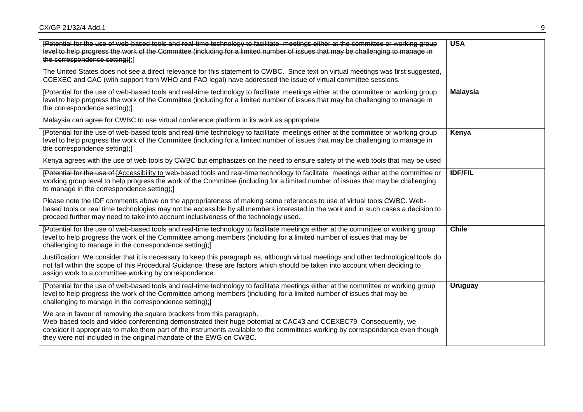| [Potential for the use of web-based tools and real-time technology to facilitate meetings either at the committee or working group<br>level to help progress the work of the Committee (including for a limited number of issues that may be challenging to manage in<br>the correspondence setting)[;]                                                                                           | <b>USA</b>      |
|---------------------------------------------------------------------------------------------------------------------------------------------------------------------------------------------------------------------------------------------------------------------------------------------------------------------------------------------------------------------------------------------------|-----------------|
| The United States does not see a direct relevance for this statement to CWBC. Since text on virtual meetings was first suggested,<br>CCEXEC and CAC (with support from WHO and FAO legal) have addressed the issue of virtual committee sessions.                                                                                                                                                 |                 |
| [Potential for the use of web-based tools and real-time technology to facilitate meetings either at the committee or working group<br>level to help progress the work of the Committee (including for a limited number of issues that may be challenging to manage in<br>the correspondence setting);]                                                                                            | <b>Malaysia</b> |
| Malaysia can agree for CWBC to use virtual conference platform in its work as appropriate                                                                                                                                                                                                                                                                                                         |                 |
| [Potential for the use of web-based tools and real-time technology to facilitate meetings either at the committee or working group<br>level to help progress the work of the Committee (including for a limited number of issues that may be challenging to manage in<br>the correspondence setting);]                                                                                            | Kenya           |
| Kenya agrees with the use of web tools by CWBC but emphasizes on the need to ensure safety of the web tools that may be used                                                                                                                                                                                                                                                                      |                 |
| [Potential for the use of [Accessibility to web-based tools and real-time technology to facilitate meetings either at the committee or<br>working group level to help progress the work of the Committee (including for a limited number of issues that may be challenging<br>to manage in the correspondence setting);]                                                                          | <b>IDF/FIL</b>  |
| Please note the IDF comments above on the appropriateness of making some references to use of virtual tools CWBC. Web-<br>based tools or real time technologies may not be accessible by all members interested in the work and in such cases a decision to<br>proceed further may need to take into account inclusiveness of the technology used.                                                |                 |
| {Potential for the use of web-based tools and real-time technology to facilitate meetings either at the committee or working group<br>level to help progress the work of the Committee among members (including for a limited number of issues that may be<br>challenging to manage in the correspondence setting);}                                                                              | <b>Chile</b>    |
| Justification: We consider that it is necessary to keep this paragraph as, although virtual meetings and other technological tools do<br>not fall within the scope of this Procedural Guidance, these are factors which should be taken into account when deciding to<br>assign work to a committee working by correspondence.                                                                    |                 |
| [Potential for the use of web-based tools and real-time technology to facilitate meetings either at the committee or working group<br>level to help progress the work of the Committee among members (including for a limited number of issues that may be<br>challenging to manage in the correspondence setting);]                                                                              | <b>Uruguay</b>  |
| We are in favour of removing the square brackets from this paragraph.<br>Web-based tools and video conferencing demonstrated their huge potential at CAC43 and CCEXEC79. Consequently, we<br>consider it appropriate to make them part of the instruments available to the committees working by correspondence even though<br>they were not included in the original mandate of the EWG on CWBC. |                 |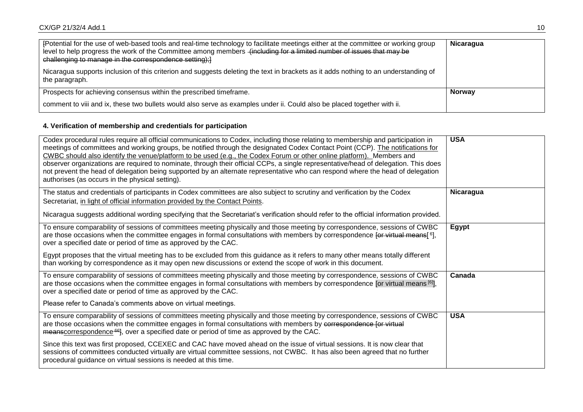| Fotential for the use of web-based tools and real-time technology to facilitate meetings either at the committee or working group<br>level to help progress the work of the Committee among members (including for a limited number of issues that may be<br>challenging to manage in the correspondence setting); ] | <b>Nicaragua</b> |
|----------------------------------------------------------------------------------------------------------------------------------------------------------------------------------------------------------------------------------------------------------------------------------------------------------------------|------------------|
| Nicaragua supports inclusion of this criterion and suggests deleting the text in brackets as it adds nothing to an understanding of<br>the paragraph.                                                                                                                                                                |                  |
| Prospects for achieving consensus within the prescribed timeframe.                                                                                                                                                                                                                                                   | <b>Norway</b>    |
| comment to viii and ix, these two bullets would also serve as examples under ii. Could also be placed together with ii.                                                                                                                                                                                              |                  |

# **4. Verification of membership and credentials for participation**

| Codex procedural rules require all official communications to Codex, including those relating to membership and participation in<br>meetings of committees and working groups, be notified through the designated Codex Contact Point (CCP). The notifications for<br>CWBC should also identify the venue/platform to be used (e.g., the Codex Forum or other online platform). Members and<br>observer organizations are required to nominate, through their official CCPs, a single representative/head of delegation. This does<br>not prevent the head of delegation being supported by an alternate representative who can respond where the head of delegation<br>authorises (as occurs in the physical setting). | <b>USA</b> |
|-------------------------------------------------------------------------------------------------------------------------------------------------------------------------------------------------------------------------------------------------------------------------------------------------------------------------------------------------------------------------------------------------------------------------------------------------------------------------------------------------------------------------------------------------------------------------------------------------------------------------------------------------------------------------------------------------------------------------|------------|
| The status and credentials of participants in Codex committees are also subject to scrutiny and verification by the Codex                                                                                                                                                                                                                                                                                                                                                                                                                                                                                                                                                                                               | Nicaragua  |
| Secretariat, in light of official information provided by the Contact Points.                                                                                                                                                                                                                                                                                                                                                                                                                                                                                                                                                                                                                                           |            |
| Nicaragua suggests additional wording specifying that the Secretariat's verification should refer to the official information provided.                                                                                                                                                                                                                                                                                                                                                                                                                                                                                                                                                                                 |            |
| To ensure comparability of sessions of committees meeting physically and those meeting by correspondence, sessions of CWBC<br>are those occasions when the committee engages in formal consultations with members by correspondence [or virtual means[ <sup>6</sup> ],<br>over a specified date or period of time as approved by the CAC.                                                                                                                                                                                                                                                                                                                                                                               | Egypt      |
| Egypt proposes that the virtual meeting has to be excluded from this guidance as it refers to many other means totally different<br>than working by correspondence as it may open new discussions or extend the scope of work in this document.                                                                                                                                                                                                                                                                                                                                                                                                                                                                         |            |
| To ensure comparability of sessions of committees meeting physically and those meeting by correspondence, sessions of CWBC<br>are those occasions when the committee engages in formal consultations with members by correspondence [or virtual means [6]],<br>over a specified date or period of time as approved by the CAC.                                                                                                                                                                                                                                                                                                                                                                                          | Canada     |
| Please refer to Canada's comments above on virtual meetings.                                                                                                                                                                                                                                                                                                                                                                                                                                                                                                                                                                                                                                                            |            |
| To ensure comparability of sessions of committees meeting physically and those meeting by correspondence, sessions of CWBC<br>are those occasions when the committee engages in formal consultations with members by correspondence [or virtual<br>meanscorrespondence <sup>-66</sup> , over a specified date or period of time as approved by the CAC.                                                                                                                                                                                                                                                                                                                                                                 | <b>USA</b> |
| Since this text was first proposed, CCEXEC and CAC have moved ahead on the issue of virtual sessions. It is now clear that<br>sessions of committees conducted virtually are virtual committee sessions, not CWBC. It has also been agreed that no further<br>procedural guidance on virtual sessions is needed at this time.                                                                                                                                                                                                                                                                                                                                                                                           |            |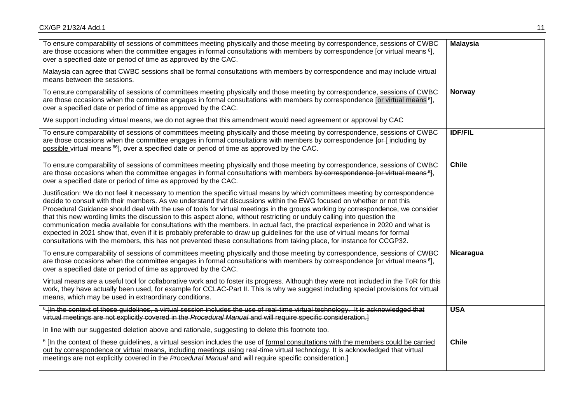| To ensure comparability of sessions of committees meeting physically and those meeting by correspondence, sessions of CWBC<br>are those occasions when the committee engages in formal consultations with members by correspondence [or virtual means <sup>6</sup> ],<br>over a specified date or period of time as approved by the CAC.<br>Malaysia can agree that CWBC sessions shall be formal consultations with members by correspondence and may include virtual<br>means between the sessions.                                                                                                                                                                                                                                                                                                                                                                                                              | <b>Malaysia</b> |
|--------------------------------------------------------------------------------------------------------------------------------------------------------------------------------------------------------------------------------------------------------------------------------------------------------------------------------------------------------------------------------------------------------------------------------------------------------------------------------------------------------------------------------------------------------------------------------------------------------------------------------------------------------------------------------------------------------------------------------------------------------------------------------------------------------------------------------------------------------------------------------------------------------------------|-----------------|
| To ensure comparability of sessions of committees meeting physically and those meeting by correspondence, sessions of CWBC<br>are those occasions when the committee engages in formal consultations with members by correspondence [or virtual means <sup>6</sup> ],<br>over a specified date or period of time as approved by the CAC.<br>We support including virtual means, we do not agree that this amendment would need agreement or approval by CAC                                                                                                                                                                                                                                                                                                                                                                                                                                                        | Norway          |
| To ensure comparability of sessions of committees meeting physically and those meeting by correspondence, sessions of CWBC<br>are those occasions when the committee engages in formal consultations with members by correspondence [or [including by<br>possible virtual means <sup>66</sup> , over a specified date or period of time as approved by the CAC.                                                                                                                                                                                                                                                                                                                                                                                                                                                                                                                                                    | <b>IDF/FIL</b>  |
| To ensure comparability of sessions of committees meeting physically and those meeting by correspondence, sessions of CWBC<br>are those occasions when the committee engages in formal consultations with members by correspondence for virtual means <sup>-61</sup> ,<br>over a specified date or period of time as approved by the CAC.                                                                                                                                                                                                                                                                                                                                                                                                                                                                                                                                                                          | <b>Chile</b>    |
| Justification: We do not feel it necessary to mention the specific virtual means by which committees meeting by correspondence<br>decide to consult with their members. As we understand that discussions within the EWG focused on whether or not this<br>Procedural Guidance should deal with the use of tools for virtual meetings in the groups working by correspondence, we consider<br>that this new wording limits the discussion to this aspect alone, without restricting or unduly calling into question the<br>communication media available for consultations with the members. In actual fact, the practical experience in 2020 and what is<br>expected in 2021 show that, even if it is probably preferable to draw up guidelines for the use of virtual means for formal<br>consultations with the members, this has not prevented these consultations from taking place, for instance for CCGP32. |                 |
| To ensure comparability of sessions of committees meeting physically and those meeting by correspondence, sessions of CWBC<br>are those occasions when the committee engages in formal consultations with members by correspondence for virtual means 6},<br>over a specified date or period of time as approved by the CAC.                                                                                                                                                                                                                                                                                                                                                                                                                                                                                                                                                                                       | Nicaragua       |
| Virtual means are a useful tool for collaborative work and to foster its progress. Although they were not included in the ToR for this<br>work, they have actually been used, for example for CCLAC-Part II. This is why we suggest including special provisions for virtual<br>means, which may be used in extraordinary conditions.                                                                                                                                                                                                                                                                                                                                                                                                                                                                                                                                                                              |                 |
| <sup>6</sup> In the context of these quidelines, a virtual session includes the use of real-time virtual technology. It is acknowledged that<br>virtual meetings are not explicitly covered in the Procedural Manual and will require specific consideration.]                                                                                                                                                                                                                                                                                                                                                                                                                                                                                                                                                                                                                                                     | <b>USA</b>      |
| In line with our suggested deletion above and rationale, suggesting to delete this footnote too.                                                                                                                                                                                                                                                                                                                                                                                                                                                                                                                                                                                                                                                                                                                                                                                                                   |                 |
| <sup>6</sup> [In the context of these guidelines, a virtual session includes the use of formal consultations with the members could be carried<br>out by correspondence or virtual means, including meetings using real-time virtual technology. It is acknowledged that virtual<br>meetings are not explicitly covered in the Procedural Manual and will require specific consideration.]                                                                                                                                                                                                                                                                                                                                                                                                                                                                                                                         | <b>Chile</b>    |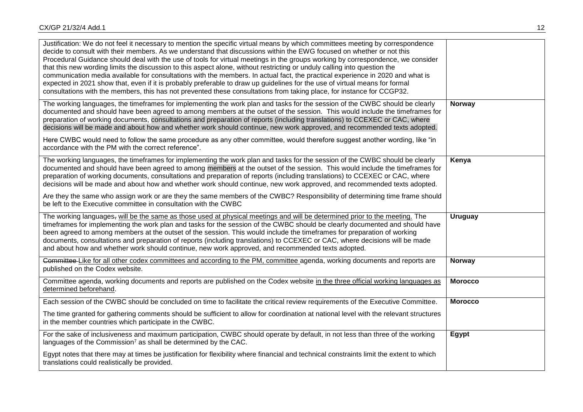| Justification: We do not feel it necessary to mention the specific virtual means by which committees meeting by correspondence<br>decide to consult with their members. As we understand that discussions within the EWG focused on whether or not this<br>Procedural Guidance should deal with the use of tools for virtual meetings in the groups working by correspondence, we consider<br>that this new wording limits the discussion to this aspect alone, without restricting or unduly calling into question the<br>communication media available for consultations with the members. In actual fact, the practical experience in 2020 and what is<br>expected in 2021 show that, even if it is probably preferable to draw up guidelines for the use of virtual means for formal<br>consultations with the members, this has not prevented these consultations from taking place, for instance for CCGP32. |                |
|--------------------------------------------------------------------------------------------------------------------------------------------------------------------------------------------------------------------------------------------------------------------------------------------------------------------------------------------------------------------------------------------------------------------------------------------------------------------------------------------------------------------------------------------------------------------------------------------------------------------------------------------------------------------------------------------------------------------------------------------------------------------------------------------------------------------------------------------------------------------------------------------------------------------|----------------|
| The working languages, the timeframes for implementing the work plan and tasks for the session of the CWBC should be clearly<br>documented and should have been agreed to among members at the outset of the session. This would include the timeframes for<br>preparation of working documents, consultations and preparation of reports (including translations) to CCEXEC or CAC, where<br>decisions will be made and about how and whether work should continue, new work approved, and recommended texts adopted.<br>Here CWBC would need to follow the same procedure as any other committee, would therefore suggest another wording, like "in<br>accordance with the PM with the correct reference".                                                                                                                                                                                                       | Norway         |
| The working languages, the timeframes for implementing the work plan and tasks for the session of the CWBC should be clearly<br>documented and should have been agreed to among members at the outset of the session. This would include the timeframes for<br>preparation of working documents, consultations and preparation of reports (including translations) to CCEXEC or CAC, where<br>decisions will be made and about how and whether work should continue, new work approved, and recommended texts adopted.                                                                                                                                                                                                                                                                                                                                                                                             | Kenya          |
| Are they the same who assign work or are they the same members of the CWBC? Responsibility of determining time frame should<br>be left to the Executive committee in consultation with the CWBC                                                                                                                                                                                                                                                                                                                                                                                                                                                                                                                                                                                                                                                                                                                    |                |
| The working languages, will be the same as those used at physical meetings and will be determined prior to the meeting. The<br>timeframes for implementing the work plan and tasks for the session of the CWBC should be clearly documented and should have<br>been agreed to among members at the outset of the session. This would include the timeframes for preparation of working<br>documents, consultations and preparation of reports (including translations) to CCEXEC or CAC, where decisions will be made<br>and about how and whether work should continue, new work approved, and recommended texts adopted.                                                                                                                                                                                                                                                                                         | <b>Uruguay</b> |
| Committee-Like for all other codex committees and according to the PM, committee agenda, working documents and reports are<br>published on the Codex website.                                                                                                                                                                                                                                                                                                                                                                                                                                                                                                                                                                                                                                                                                                                                                      | Norway         |
| Committee agenda, working documents and reports are published on the Codex website in the three official working languages as<br>determined beforehand.                                                                                                                                                                                                                                                                                                                                                                                                                                                                                                                                                                                                                                                                                                                                                            | <b>Morocco</b> |
| Each session of the CWBC should be concluded on time to facilitate the critical review requirements of the Executive Committee.                                                                                                                                                                                                                                                                                                                                                                                                                                                                                                                                                                                                                                                                                                                                                                                    | <b>Morocco</b> |
| The time granted for gathering comments should be sufficient to allow for coordination at national level with the relevant structures<br>in the member countries which participate in the CWBC.                                                                                                                                                                                                                                                                                                                                                                                                                                                                                                                                                                                                                                                                                                                    |                |
| For the sake of inclusiveness and maximum participation, CWBC should operate by default, in not less than three of the working<br>languages of the Commission <sup>7</sup> as shall be determined by the CAC.                                                                                                                                                                                                                                                                                                                                                                                                                                                                                                                                                                                                                                                                                                      | Egypt          |
| Egypt notes that there may at times be justification for flexibility where financial and technical constraints limit the extent to which<br>translations could realistically be provided.                                                                                                                                                                                                                                                                                                                                                                                                                                                                                                                                                                                                                                                                                                                          |                |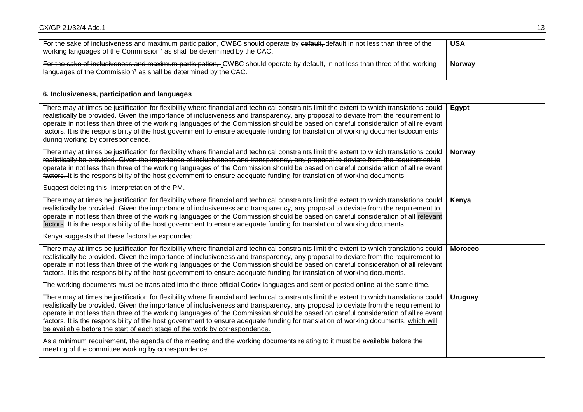| For the sake of inclusiveness and maximum participation, CWBC should operate by default, default in not less than three of the<br>working languages of the Commission <sup>7</sup> as shall be determined by the CAC. | <b>USA</b>    |
|-----------------------------------------------------------------------------------------------------------------------------------------------------------------------------------------------------------------------|---------------|
| For the sake of inclusiveness and maximum participation. CWBC should operate by default, in not less than three of the working<br>languages of the Commission <sup>7</sup> as shall be determined by the CAC.         | <b>Norway</b> |

## **6. Inclusiveness, participation and languages**

| There may at times be justification for flexibility where financial and technical constraints limit the extent to which translations could<br>realistically be provided. Given the importance of inclusiveness and transparency, any proposal to deviate from the requirement to<br>operate in not less than three of the working languages of the Commission should be based on careful consideration of all relevant<br>factors. It is the responsibility of the host government to ensure adequate funding for translation of working documents documents<br>during working by correspondence.                                                                                   | Egypt          |
|-------------------------------------------------------------------------------------------------------------------------------------------------------------------------------------------------------------------------------------------------------------------------------------------------------------------------------------------------------------------------------------------------------------------------------------------------------------------------------------------------------------------------------------------------------------------------------------------------------------------------------------------------------------------------------------|----------------|
| There may at times be justification for flexibility where financial and technical constraints limit the extent to which translations could<br>realistically be provided. Given the importance of inclusiveness and transparency, any proposal to deviate from the requirement to<br>operate in not less than three of the working languages of the Commission should be based on careful consideration of all relevant<br>factors. It is the responsibility of the host government to ensure adequate funding for translation of working documents.<br>Suggest deleting this, interpretation of the PM.                                                                             | <b>Norway</b>  |
| There may at times be justification for flexibility where financial and technical constraints limit the extent to which translations could<br>realistically be provided. Given the importance of inclusiveness and transparency, any proposal to deviate from the requirement to<br>operate in not less than three of the working languages of the Commission should be based on careful consideration of all relevant<br>factors. It is the responsibility of the host government to ensure adequate funding for translation of working documents.<br>Kenya suggests that these factors be expounded.                                                                              | Kenya          |
| There may at times be justification for flexibility where financial and technical constraints limit the extent to which translations could<br>realistically be provided. Given the importance of inclusiveness and transparency, any proposal to deviate from the requirement to<br>operate in not less than three of the working languages of the Commission should be based on careful consideration of all relevant<br>factors. It is the responsibility of the host government to ensure adequate funding for translation of working documents.<br>The working documents must be translated into the three official Codex languages and sent or posted online at the same time. | <b>Morocco</b> |
| There may at times be justification for flexibility where financial and technical constraints limit the extent to which translations could<br>realistically be provided. Given the importance of inclusiveness and transparency, any proposal to deviate from the requirement to<br>operate in not less than three of the working languages of the Commission should be based on careful consideration of all relevant<br>factors. It is the responsibility of the host government to ensure adequate funding for translation of working documents, which will<br>be available before the start of each stage of the work by correspondence.                                        | Uruguay        |
| As a minimum requirement, the agenda of the meeting and the working documents relating to it must be available before the<br>meeting of the committee working by correspondence.                                                                                                                                                                                                                                                                                                                                                                                                                                                                                                    |                |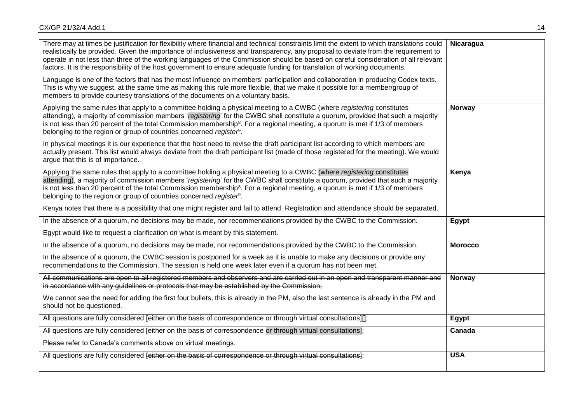| There may at times be justification for flexibility where financial and technical constraints limit the extent to which translations could<br>realistically be provided. Given the importance of inclusiveness and transparency, any proposal to deviate from the requirement to<br>operate in not less than three of the working languages of the Commission should be based on careful consideration of all relevant<br>factors. It is the responsibility of the host government to ensure adequate funding for translation of working documents.<br>Language is one of the factors that has the most influence on members' participation and collaboration in producing Codex texts.<br>This is why we suggest, at the same time as making this rule more flexible, that we make it possible for a member/group of<br>members to provide courtesy translations of the documents on a voluntary basis. | Nicaragua      |
|----------------------------------------------------------------------------------------------------------------------------------------------------------------------------------------------------------------------------------------------------------------------------------------------------------------------------------------------------------------------------------------------------------------------------------------------------------------------------------------------------------------------------------------------------------------------------------------------------------------------------------------------------------------------------------------------------------------------------------------------------------------------------------------------------------------------------------------------------------------------------------------------------------|----------------|
| Applying the same rules that apply to a committee holding a physical meeting to a CWBC (where registering constitutes<br>attending), a majority of commission members 'registering' for the CWBC shall constitute a quorum, provided that such a majority<br>is not less than 20 percent of the total Commission membership <sup>8</sup> . For a regional meeting, a quorum is met if 1/3 of members<br>belonging to the region or group of countries concerned register <sup>9</sup> .                                                                                                                                                                                                                                                                                                                                                                                                                  | <b>Norway</b>  |
| In physical meetings it is our experience that the host need to revise the draft participant list according to which members are<br>actually present. This list would always deviate from the draft participant list (made of those registered for the meeting). We would<br>argue that this is of importance.                                                                                                                                                                                                                                                                                                                                                                                                                                                                                                                                                                                           |                |
| Applying the same rules that apply to a committee holding a physical meeting to a CWBC (where registering constitutes<br>attending), a majority of commission members 'registering' for the CWBC shall constitute a quorum, provided that such a majority<br>is not less than 20 percent of the total Commission membership <sup>8</sup> . For a regional meeting, a quorum is met if 1/3 of members<br>belonging to the region or group of countries concerned register <sup>9</sup> .                                                                                                                                                                                                                                                                                                                                                                                                                  | Kenya          |
| Kenya notes that there is a possibility that one might register and fail to attend. Registration and attendance should be separated.                                                                                                                                                                                                                                                                                                                                                                                                                                                                                                                                                                                                                                                                                                                                                                     |                |
| In the absence of a quorum, no decisions may be made, nor recommendations provided by the CWBC to the Commission.                                                                                                                                                                                                                                                                                                                                                                                                                                                                                                                                                                                                                                                                                                                                                                                        | Egypt          |
| Egypt would like to request a clarification on what is meant by this statement.                                                                                                                                                                                                                                                                                                                                                                                                                                                                                                                                                                                                                                                                                                                                                                                                                          |                |
| In the absence of a quorum, no decisions may be made, nor recommendations provided by the CWBC to the Commission.                                                                                                                                                                                                                                                                                                                                                                                                                                                                                                                                                                                                                                                                                                                                                                                        | <b>Morocco</b> |
| In the absence of a quorum, the CWBC session is postponed for a week as it is unable to make any decisions or provide any<br>recommendations to the Commission. The session is held one week later even if a quorum has not been met.                                                                                                                                                                                                                                                                                                                                                                                                                                                                                                                                                                                                                                                                    |                |
| All communications are open to all registered members and observers and are carried out in an open and transparent manner and<br>in accordance with any guidelines or protocols that may be established by the Commission;                                                                                                                                                                                                                                                                                                                                                                                                                                                                                                                                                                                                                                                                               | Norway         |
| We cannot see the need for adding the first four bullets, this is already in the PM, also the last sentence is already in the PM and<br>should not be questioned.                                                                                                                                                                                                                                                                                                                                                                                                                                                                                                                                                                                                                                                                                                                                        |                |
| All questions are fully considered [either on the basis of correspondence or through virtual consultations][];                                                                                                                                                                                                                                                                                                                                                                                                                                                                                                                                                                                                                                                                                                                                                                                           | Egypt          |
| All questions are fully considered [either on the basis of correspondence or through virtual consultations];                                                                                                                                                                                                                                                                                                                                                                                                                                                                                                                                                                                                                                                                                                                                                                                             | Canada         |
| Please refer to Canada's comments above on virtual meetings.                                                                                                                                                                                                                                                                                                                                                                                                                                                                                                                                                                                                                                                                                                                                                                                                                                             |                |
| All questions are fully considered feither on the basis of correspondence or through virtual consultations);                                                                                                                                                                                                                                                                                                                                                                                                                                                                                                                                                                                                                                                                                                                                                                                             | <b>USA</b>     |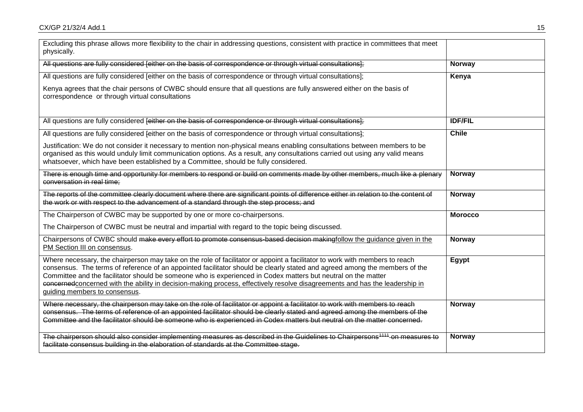| Excluding this phrase allows more flexibility to the chair in addressing questions, consistent with practice in committees that meet<br>physically.                                                                                                                                                                                                                                                                                                                                                                                         |                |
|---------------------------------------------------------------------------------------------------------------------------------------------------------------------------------------------------------------------------------------------------------------------------------------------------------------------------------------------------------------------------------------------------------------------------------------------------------------------------------------------------------------------------------------------|----------------|
| All questions are fully considered [either on the basis of correspondence or through virtual consultations];                                                                                                                                                                                                                                                                                                                                                                                                                                | <b>Norway</b>  |
| All questions are fully considered [either on the basis of correspondence or through virtual consultations];                                                                                                                                                                                                                                                                                                                                                                                                                                | Kenya          |
| Kenya agrees that the chair persons of CWBC should ensure that all questions are fully answered either on the basis of<br>correspondence or through virtual consultations                                                                                                                                                                                                                                                                                                                                                                   |                |
| All questions are fully considered feither on the basis of correspondence or through virtual consultations);                                                                                                                                                                                                                                                                                                                                                                                                                                | <b>IDF/FIL</b> |
| All questions are fully considered feither on the basis of correspondence or through virtual consultations};                                                                                                                                                                                                                                                                                                                                                                                                                                | <b>Chile</b>   |
| Justification: We do not consider it necessary to mention non-physical means enabling consultations between members to be<br>organised as this would unduly limit communication options. As a result, any consultations carried out using any valid means<br>whatsoever, which have been established by a Committee, should be fully considered.                                                                                                                                                                                            |                |
| There is enough time and opportunity for members to respond or build on comments made by other members, much like a plenary<br>conversation in real time:                                                                                                                                                                                                                                                                                                                                                                                   | <b>Norway</b>  |
| The reports of the committee clearly document where there are significant points of difference either in relation to the content of<br>the work or with respect to the advancement of a standard through the step process; and                                                                                                                                                                                                                                                                                                              | <b>Norway</b>  |
| The Chairperson of CWBC may be supported by one or more co-chairpersons.                                                                                                                                                                                                                                                                                                                                                                                                                                                                    | <b>Morocco</b> |
| The Chairperson of CWBC must be neutral and impartial with regard to the topic being discussed.                                                                                                                                                                                                                                                                                                                                                                                                                                             |                |
| Chairpersons of CWBC should make every effort to promote consensus-based decision makingfollow the guidance given in the<br>PM Section III on consensus.                                                                                                                                                                                                                                                                                                                                                                                    | <b>Norway</b>  |
| Where necessary, the chairperson may take on the role of facilitator or appoint a facilitator to work with members to reach<br>consensus. The terms of reference of an appointed facilitator should be clearly stated and agreed among the members of the<br>Committee and the facilitator should be someone who is experienced in Codex matters but neutral on the matter<br>concerned concerned with the ability in decision-making process, effectively resolve disagreements and has the leadership in<br>guiding members to consensus. | Egypt          |
| Where necessary, the chairperson may take on the role of facilitator or appoint a facilitator to work with members to reach<br>consensus. The terms of reference of an appointed facilitator should be clearly stated and agreed among the members of the<br>Committee and the facilitator should be someone who is experienced in Codex matters but neutral on the matter concerned.                                                                                                                                                       | <b>Norway</b>  |
| The chairperson should also consider implementing measures as described in the Guidelines to Chairpersons <sup>4111</sup> on measures to<br>facilitate consensus building in the elaboration of standards at the Committee stage.                                                                                                                                                                                                                                                                                                           | <b>Norway</b>  |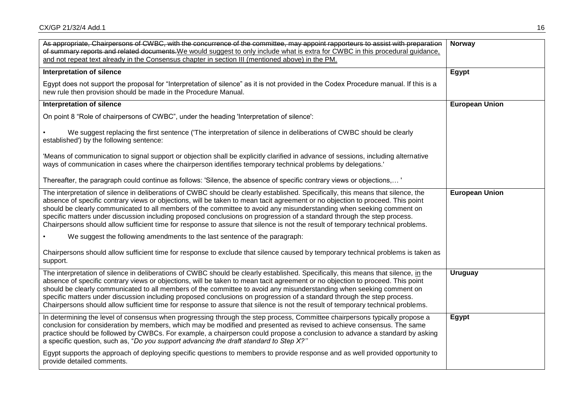| As appropriate, Chairpersons of CWBC, with the concurrence of the committee, may appoint rapporteurs to assist with preparation                                                                                                                                                                                                                                                                                                                                                                                                                                                                                                                              | Norway                |
|--------------------------------------------------------------------------------------------------------------------------------------------------------------------------------------------------------------------------------------------------------------------------------------------------------------------------------------------------------------------------------------------------------------------------------------------------------------------------------------------------------------------------------------------------------------------------------------------------------------------------------------------------------------|-----------------------|
| of summary reports and related documents. We would suggest to only include what is extra for CWBC in this procedural guidance,                                                                                                                                                                                                                                                                                                                                                                                                                                                                                                                               |                       |
| and not repeat text already in the Consensus chapter in section III (mentioned above) in the PM.                                                                                                                                                                                                                                                                                                                                                                                                                                                                                                                                                             |                       |
| <b>Interpretation of silence</b>                                                                                                                                                                                                                                                                                                                                                                                                                                                                                                                                                                                                                             | Egypt                 |
| Egypt does not support the proposal for "Interpretation of silence" as it is not provided in the Codex Procedure manual. If this is a<br>new rule then provision should be made in the Procedure Manual.                                                                                                                                                                                                                                                                                                                                                                                                                                                     |                       |
| <b>Interpretation of silence</b>                                                                                                                                                                                                                                                                                                                                                                                                                                                                                                                                                                                                                             | <b>European Union</b> |
| On point 8 "Role of chairpersons of CWBC", under the heading 'Interpretation of silence':                                                                                                                                                                                                                                                                                                                                                                                                                                                                                                                                                                    |                       |
| We suggest replacing the first sentence ('The interpretation of silence in deliberations of CWBC should be clearly<br>established') by the following sentence:                                                                                                                                                                                                                                                                                                                                                                                                                                                                                               |                       |
| 'Means of communication to signal support or objection shall be explicitly clarified in advance of sessions, including alternative<br>ways of communication in cases where the chairperson identifies temporary technical problems by delegations.                                                                                                                                                                                                                                                                                                                                                                                                           |                       |
| Thereafter, the paragraph could continue as follows: 'Silence, the absence of specific contrary views or objections,'                                                                                                                                                                                                                                                                                                                                                                                                                                                                                                                                        |                       |
| The interpretation of silence in deliberations of CWBC should be clearly established. Specifically, this means that silence, the<br>absence of specific contrary views or objections, will be taken to mean tacit agreement or no objection to proceed. This point<br>should be clearly communicated to all members of the committee to avoid any misunderstanding when seeking comment on<br>specific matters under discussion including proposed conclusions on progression of a standard through the step process.<br>Chairpersons should allow sufficient time for response to assure that silence is not the result of temporary technical problems.    | <b>European Union</b> |
| We suggest the following amendments to the last sentence of the paragraph:                                                                                                                                                                                                                                                                                                                                                                                                                                                                                                                                                                                   |                       |
| Chairpersons should allow sufficient time for response to exclude that silence caused by temporary technical problems is taken as<br>support.                                                                                                                                                                                                                                                                                                                                                                                                                                                                                                                |                       |
| The interpretation of silence in deliberations of CWBC should be clearly established. Specifically, this means that silence, in the<br>absence of specific contrary views or objections, will be taken to mean tacit agreement or no objection to proceed. This point<br>should be clearly communicated to all members of the committee to avoid any misunderstanding when seeking comment on<br>specific matters under discussion including proposed conclusions on progression of a standard through the step process.<br>Chairpersons should allow sufficient time for response to assure that silence is not the result of temporary technical problems. | <b>Uruguay</b>        |
| In determining the level of consensus when progressing through the step process, Committee chairpersons typically propose a<br>conclusion for consideration by members, which may be modified and presented as revised to achieve consensus. The same<br>practice should be followed by CWBCs. For example, a chairperson could propose a conclusion to advance a standard by asking<br>a specific question, such as, "Do you support advancing the draft standard to Step X?"                                                                                                                                                                               | Egypt                 |
| Egypt supports the approach of deploying specific questions to members to provide response and as well provided opportunity to<br>provide detailed comments.                                                                                                                                                                                                                                                                                                                                                                                                                                                                                                 |                       |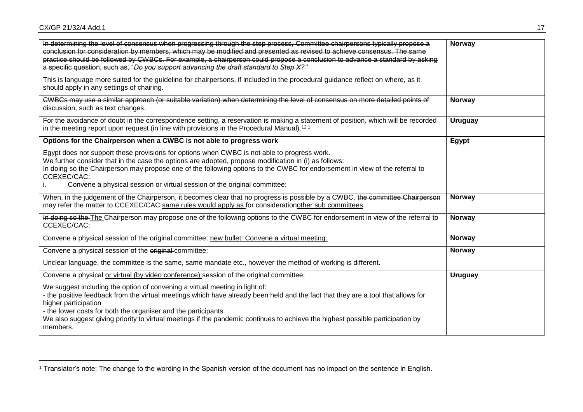$\overline{a}$ 

| In determining the level of consensus when progressing through the step process, Committee chairpersons typically propose a<br>conclusion for consideration by members, which may be modified and presented as revised to achieve consensus. The same<br>practice should be followed by CWBCs. For example, a chairperson could propose a conclusion to advance a standard by asking<br>a specific question, such as, "Do you support advancing the draft standard to Step X?" | Norway         |
|--------------------------------------------------------------------------------------------------------------------------------------------------------------------------------------------------------------------------------------------------------------------------------------------------------------------------------------------------------------------------------------------------------------------------------------------------------------------------------|----------------|
| This is language more suited for the guideline for chairpersons, if included in the procedural guidance reflect on where, as it<br>should apply in any settings of chairing.                                                                                                                                                                                                                                                                                                   |                |
| CWBCs may use a similar approach (or suitable variation) when determining the level of consensus on more detailed points of<br>discussion, such as text changes.                                                                                                                                                                                                                                                                                                               | Norway         |
| For the avoidance of doubt in the correspondence setting, a reservation is making a statement of position, which will be recorded<br>in the meeting report upon request (in line with provisions in the Procedural Manual). <sup>121</sup>                                                                                                                                                                                                                                     | <b>Uruguay</b> |
| Options for the Chairperson when a CWBC is not able to progress work                                                                                                                                                                                                                                                                                                                                                                                                           | Egypt          |
| Egypt does not support these provisions for options when CWBC is not able to progress work.<br>We further consider that in the case the options are adopted, propose modification in (i) as follows:<br>In doing so the Chairperson may propose one of the following options to the CWBC for endorsement in view of the referral to<br>CCEXEC/CAC:<br>Convene a physical session or virtual session of the original committee;                                                 |                |
| When, in the judgement of the Chairperson, it becomes clear that no progress is possible by a CWBC, the committee Chairperson<br>may refer the matter to CCEXEC/CAC-same rules would apply as for considerationother sub committees.                                                                                                                                                                                                                                           | Norway         |
| In doing so the The Chairperson may propose one of the following options to the CWBC for endorsement in view of the referral to<br>CCEXEC/CAC:                                                                                                                                                                                                                                                                                                                                 | Norway         |
| Convene a physical session of the original committee; new bullet: Convene a virtual meeting.                                                                                                                                                                                                                                                                                                                                                                                   | Norway         |
| Convene a physical session of the original committee;                                                                                                                                                                                                                                                                                                                                                                                                                          | <b>Norway</b>  |
| Unclear language, the committee is the same, same mandate etc., however the method of working is different.                                                                                                                                                                                                                                                                                                                                                                    |                |
| Convene a physical or virtual (by video conference) session of the original committee;                                                                                                                                                                                                                                                                                                                                                                                         | <b>Uruguay</b> |
| We suggest including the option of convening a virtual meeting in light of:<br>- the positive feedback from the virtual meetings which have already been held and the fact that they are a tool that allows for<br>higher participation<br>- the lower costs for both the organiser and the participants<br>We also suggest giving priority to virtual meetings if the pandemic continues to achieve the highest possible participation by<br>members.                         |                |

<sup>1</sup> Translator's note: The change to the wording in the Spanish version of the document has no impact on the sentence in English.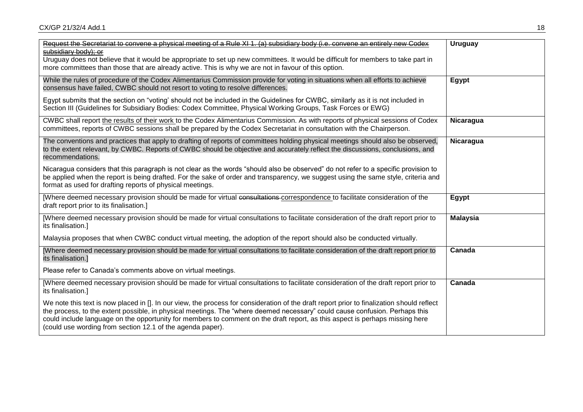CX/GP 21/32/4 Add.1 2002 18:00:00 18:00:00 18:00:00 18:00:00 18:00:00 18:00:00 18:00:00 18:00:00 18:00:00 18:00:00 18:00:00 18:00:00 18:00:00 18:00:00 18:00:00 18:00:00 18:00:00 18:00:00 19:00:00 18:00:00 19:00:00 19:00:00

| Request the Secretariat to convene a physical meeting of a Rule XI 1. (a) subsidiary body (i.e. convene an entirely new Codex<br>subsidiary body); or<br>Uruguay does not believe that it would be appropriate to set up new committees. It would be difficult for members to take part in<br>more committees than those that are already active. This is why we are not in favour of this option.                                                                      | <b>Uruguay</b>   |
|-------------------------------------------------------------------------------------------------------------------------------------------------------------------------------------------------------------------------------------------------------------------------------------------------------------------------------------------------------------------------------------------------------------------------------------------------------------------------|------------------|
| While the rules of procedure of the Codex Alimentarius Commission provide for voting in situations when all efforts to achieve<br>consensus have failed, CWBC should not resort to voting to resolve differences.<br>Egypt submits that the section on "voting' should not be included in the Guidelines for CWBC, similarly as it is not included in                                                                                                                   | Egypt            |
| Section III (Guidelines for Subsidiary Bodies: Codex Committee, Physical Working Groups, Task Forces or EWG)<br>CWBC shall report the results of their work to the Codex Alimentarius Commission. As with reports of physical sessions of Codex<br>committees, reports of CWBC sessions shall be prepared by the Codex Secretariat in consultation with the Chairperson.                                                                                                | Nicaragua        |
| The conventions and practices that apply to drafting of reports of committees holding physical meetings should also be observed,<br>to the extent relevant, by CWBC. Reports of CWBC should be objective and accurately reflect the discussions, conclusions, and<br>recommendations.                                                                                                                                                                                   | <b>Nicaragua</b> |
| Nicaragua considers that this paragraph is not clear as the words "should also be observed" do not refer to a specific provision to<br>be applied when the report is being drafted. For the sake of order and transparency, we suggest using the same style, criteria and<br>format as used for drafting reports of physical meetings.                                                                                                                                  |                  |
| [Where deemed necessary provision should be made for virtual consultations-correspondence to facilitate consideration of the<br>draft report prior to its finalisation.]                                                                                                                                                                                                                                                                                                | Egypt            |
| [Where deemed necessary provision should be made for virtual consultations to facilitate consideration of the draft report prior to<br>its finalisation.]                                                                                                                                                                                                                                                                                                               | <b>Malaysia</b>  |
| Malaysia proposes that when CWBC conduct virtual meeting, the adoption of the report should also be conducted virtually.                                                                                                                                                                                                                                                                                                                                                |                  |
| [Where deemed necessary provision should be made for virtual consultations to facilitate consideration of the draft report prior to<br>its finalisation.]                                                                                                                                                                                                                                                                                                               | Canada           |
| Please refer to Canada's comments above on virtual meetings.                                                                                                                                                                                                                                                                                                                                                                                                            |                  |
| [Where deemed necessary provision should be made for virtual consultations to facilitate consideration of the draft report prior to<br>its finalisation.]                                                                                                                                                                                                                                                                                                               | Canada           |
| We note this text is now placed in []. In our view, the process for consideration of the draft report prior to finalization should reflect<br>the process, to the extent possible, in physical meetings. The "where deemed necessary" could cause confusion. Perhaps this<br>could include language on the opportunity for members to comment on the draft report, as this aspect is perhaps missing here<br>(could use wording from section 12.1 of the agenda paper). |                  |